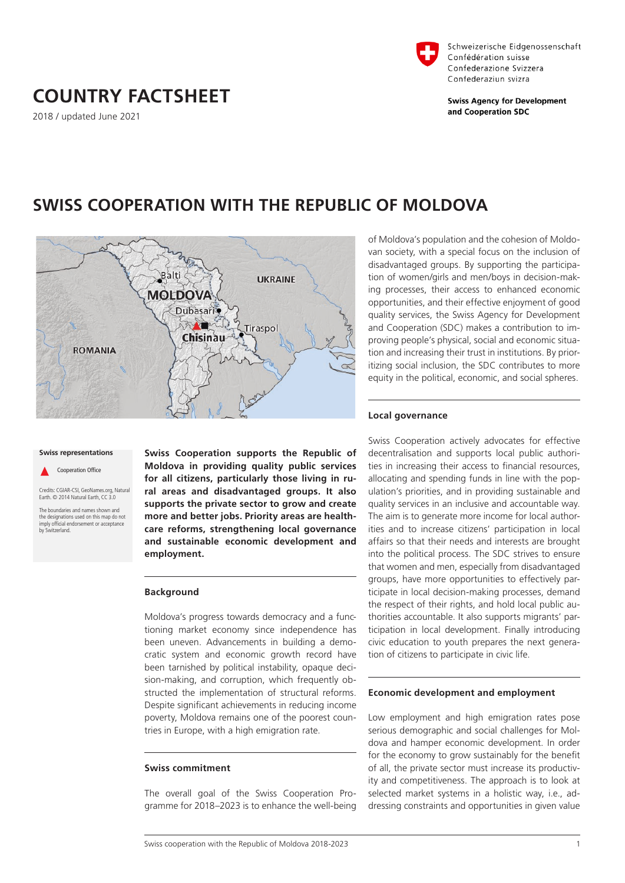### **Local governance**

Swiss Cooperation actively advocates for effective decentralisation and supports local public authorities in increasing their access to financial resources, allocating and spending funds in line with the population's priorities, and in providing sustainable and quality services in an inclusive and accountable way. The aim is to generate more income for local authorities and to increase citizens' participation in local affairs so that their needs and interests are brought into the political process. The SDC strives to ensure that women and men, especially from disadvantaged groups, have more opportunities to effectively participate in local decision-making processes, demand the respect of their rights, and hold local public authorities accountable. It also supports migrants' participation in local development. Finally introducing civic education to youth prepares the next generation of citizens to participate in civic life.

#### **Economic development and employment**

Low employment and high emigration rates pose serious demographic and social challenges for Moldova and hamper economic development. In order for the economy to grow sustainably for the benefit of all, the private sector must increase its productivity and competitiveness. The approach is to look at selected market systems in a holistic way, i.e., addressing constraints and opportunities in given value



## **SWISS COOPERATION WITH THE REPUBLIC OF MOLDOVA**

# Balti **UKRAINE MOLDOVA** Dubasari Tiraspol Chisinau **ROMANIA**

#### **Swiss representations**

Cooperation Office

Credits: CGIAR-CSI, GeoNames.org, Natural Earth. © 2014 Natural Earth, CC 3.0

The boundaries and names shown and the designations used on this map do not imply official endorsement or acceptance by Switzerland.

**Swiss Cooperation supports the Republic of Moldova in providing quality public services for all citizens, particularly those living in rural areas and disadvantaged groups. It also supports the private sector to grow and create more and better jobs. Priority areas are healthcare reforms, strengthening local governance and sustainable economic development and employment.** 

#### **Background**

Moldova's progress towards democracy and a functioning market economy since independence has been uneven. Advancements in building a democratic system and economic growth record have been tarnished by political instability, opaque decision-making, and corruption, which frequently obstructed the implementation of structural reforms. Despite significant achievements in reducing income poverty, Moldova remains one of the poorest countries in Europe, with a high emigration rate.

#### **Swiss commitment**

The overall goal of the Swiss Cooperation Programme for 2018–2023 is to enhance the well-being

# **COUNTRY FACTSHEET**

2018 / updated June 2021





Schweizerische Eidgenossenschaft Confédération suisse Confederazione Svizzera Confederaziun svizra

**Swiss Agency for Development** and Cooperation SDC

of Moldova's population and the cohesion of Moldovan society, with a special focus on the inclusion of disadvantaged groups. By supporting the participation of women/girls and men/boys in decision-making processes, their access to enhanced economic opportunities, and their effective enjoyment of good quality services, the Swiss Agency for Development and Cooperation (SDC) makes a contribution to improving people's physical, social and economic situation and increasing their trust in institutions. By prioritizing social inclusion, the SDC contributes to more equity in the political, economic, and social spheres.